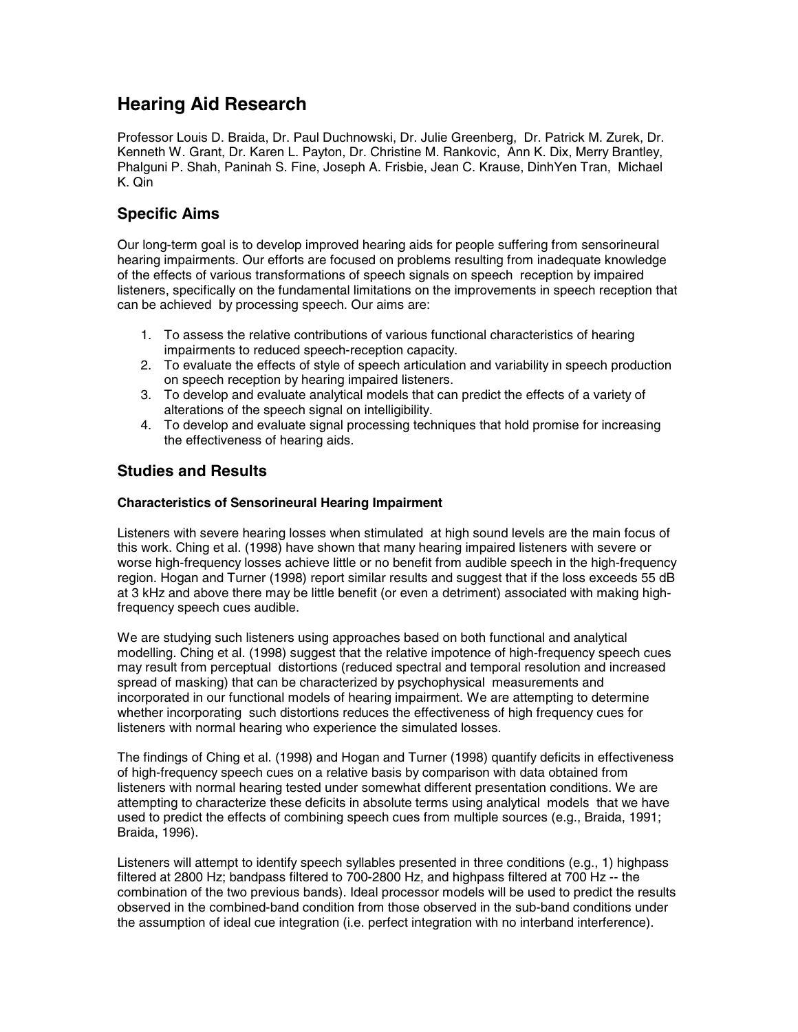# **Hearing Aid Research**

Professor Louis D. Braida, Dr. Paul Duchnowski, Dr. Julie Greenberg, Dr. Patrick M. Zurek, Dr. Kenneth W. Grant, Dr. Karen L. Payton, Dr. Christine M. Rankovic, Ann K. Dix, Merry Brantley, Phalguni P. Shah, Paninah S. Fine, Joseph A. Frisbie, Jean C. Krause, DinhYen Tran, Michael K. Qin

## **Specific Aims**

Our long-term goal is to develop improved hearing aids for people suffering from sensorineural hearing impairments. Our efforts are focused on problems resulting from inadequate knowledge of the effects of various transformations of speech signals on speech reception by impaired listeners, specifically on the fundamental limitations on the improvements in speech reception that can be achieved by processing speech. Our aims are:

- 1. To assess the relative contributions of various functional characteristics of hearing impairments to reduced speech-reception capacity.
- 2. To evaluate the effects of style of speech articulation and variability in speech production on speech reception by hearing impaired listeners.
- 3. To develop and evaluate analytical models that can predict the effects of a variety of alterations of the speech signal on intelligibility.
- 4. To develop and evaluate signal processing techniques that hold promise for increasing the effectiveness of hearing aids.

## **Studies and Results**

### **Characteristics of Sensorineural Hearing Impairment**

Listeners with severe hearing losses when stimulated at high sound levels are the main focus of this work. Ching et al. (1998) have shown that many hearing impaired listeners with severe or worse high-frequency losses achieve little or no benefit from audible speech in the high-frequency region. Hogan and Turner (1998) report similar results and suggest that if the loss exceeds 55 dB at 3 kHz and above there may be little benefit (or even a detriment) associated with making highfrequency speech cues audible.

We are studying such listeners using approaches based on both functional and analytical modelling. Ching et al. (1998) suggest that the relative impotence of high-frequency speech cues may result from perceptual distortions (reduced spectral and temporal resolution and increased spread of masking) that can be characterized by psychophysical measurements and incorporated in our functional models of hearing impairment. We are attempting to determine whether incorporating such distortions reduces the effectiveness of high frequency cues for listeners with normal hearing who experience the simulated losses.

The findings of Ching et al. (1998) and Hogan and Turner (1998) quantify deficits in effectiveness of high-frequency speech cues on a relative basis by comparison with data obtained from listeners with normal hearing tested under somewhat different presentation conditions. We are attempting to characterize these deficits in absolute terms using analytical models that we have used to predict the effects of combining speech cues from multiple sources (e.g., Braida, 1991; Braida, 1996).

Listeners will attempt to identify speech syllables presented in three conditions (e.g., 1) highpass filtered at 2800 Hz; bandpass filtered to 700-2800 Hz, and highpass filtered at 700 Hz -- the combination of the two previous bands). Ideal processor models will be used to predict the results observed in the combined-band condition from those observed in the sub-band conditions under the assumption of ideal cue integration (i.e. perfect integration with no interband interference).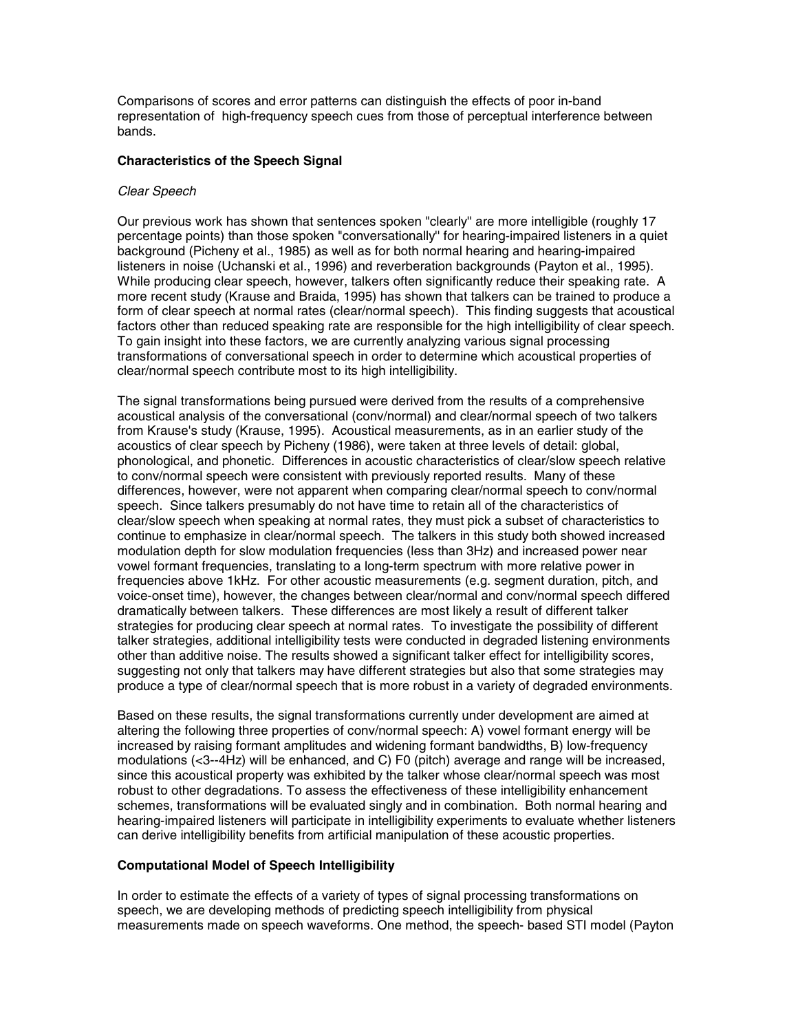Comparisons of scores and error patterns can distinguish the effects of poor in-band representation of high-frequency speech cues from those of perceptual interference between bands.

#### **Characteristics of the Speech Signal**

#### *Clear Speech*

Our previous work has shown that sentences spoken "clearly'' are more intelligible (roughly 17 percentage points) than those spoken "conversationally'' for hearing-impaired listeners in a quiet background (Picheny et al., 1985) as well as for both normal hearing and hearing-impaired listeners in noise (Uchanski et al., 1996) and reverberation backgrounds (Payton et al., 1995). While producing clear speech, however, talkers often significantly reduce their speaking rate. A more recent study (Krause and Braida, 1995) has shown that talkers can be trained to produce a form of clear speech at normal rates (clear/normal speech). This finding suggests that acoustical factors other than reduced speaking rate are responsible for the high intelligibility of clear speech. To gain insight into these factors, we are currently analyzing various signal processing transformations of conversational speech in order to determine which acoustical properties of clear/normal speech contribute most to its high intelligibility.

The signal transformations being pursued were derived from the results of a comprehensive acoustical analysis of the conversational (conv/normal) and clear/normal speech of two talkers from Krause's study (Krause, 1995). Acoustical measurements, as in an earlier study of the acoustics of clear speech by Picheny (1986), were taken at three levels of detail: global, phonological, and phonetic. Differences in acoustic characteristics of clear/slow speech relative to conv/normal speech were consistent with previously reported results. Many of these differences, however, were not apparent when comparing clear/normal speech to conv/normal speech. Since talkers presumably do not have time to retain all of the characteristics of clear/slow speech when speaking at normal rates, they must pick a subset of characteristics to continue to emphasize in clear/normal speech. The talkers in this study both showed increased modulation depth for slow modulation frequencies (less than 3Hz) and increased power near vowel formant frequencies, translating to a long-term spectrum with more relative power in frequencies above 1kHz. For other acoustic measurements (e.g. segment duration, pitch, and voice-onset time), however, the changes between clear/normal and conv/normal speech differed dramatically between talkers. These differences are most likely a result of different talker strategies for producing clear speech at normal rates. To investigate the possibility of different talker strategies, additional intelligibility tests were conducted in degraded listening environments other than additive noise. The results showed a significant talker effect for intelligibility scores, suggesting not only that talkers may have different strategies but also that some strategies may produce a type of clear/normal speech that is more robust in a variety of degraded environments.

Based on these results, the signal transformations currently under development are aimed at altering the following three properties of conv/normal speech: A) vowel formant energy will be increased by raising formant amplitudes and widening formant bandwidths, B) low-frequency modulations (<3--4Hz) will be enhanced, and C) F0 (pitch) average and range will be increased, since this acoustical property was exhibited by the talker whose clear/normal speech was most robust to other degradations. To assess the effectiveness of these intelligibility enhancement schemes, transformations will be evaluated singly and in combination. Both normal hearing and hearing-impaired listeners will participate in intelligibility experiments to evaluate whether listeners can derive intelligibility benefits from artificial manipulation of these acoustic properties.

#### **Computational Model of Speech Intelligibility**

In order to estimate the effects of a variety of types of signal processing transformations on speech, we are developing methods of predicting speech intelligibility from physical measurements made on speech waveforms. One method, the speech- based STI model (Payton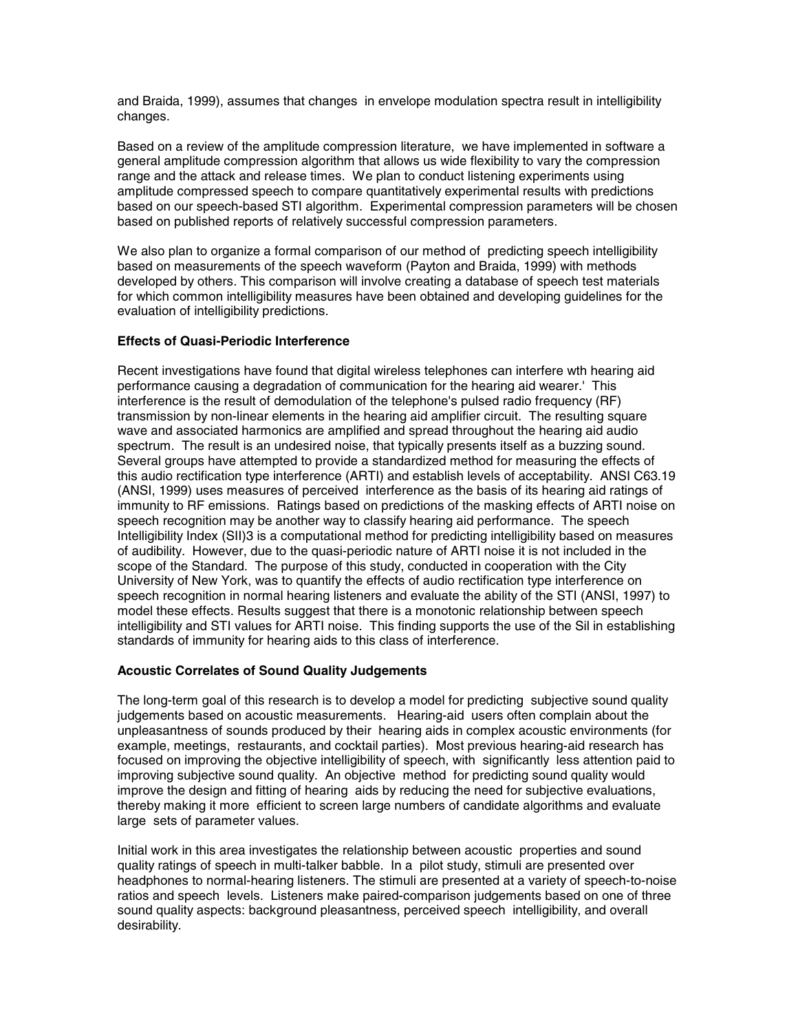and Braida, 1999), assumes that changes in envelope modulation spectra result in intelligibility changes.

Based on a review of the amplitude compression literature, we have implemented in software a general amplitude compression algorithm that allows us wide flexibility to vary the compression range and the attack and release times. We plan to conduct listening experiments using amplitude compressed speech to compare quantitatively experimental results with predictions based on our speech-based STI algorithm. Experimental compression parameters will be chosen based on published reports of relatively successful compression parameters.

We also plan to organize a formal comparison of our method of predicting speech intelligibility based on measurements of the speech waveform (Payton and Braida, 1999) with methods developed by others. This comparison will involve creating a database of speech test materials for which common intelligibility measures have been obtained and developing guidelines for the evaluation of intelligibility predictions.

### **Effects of Quasi-Periodic Interference**

Recent investigations have found that digital wireless telephones can interfere wth hearing aid performance causing a degradation of communication for the hearing aid wearer.' This interference is the result of demodulation of the telephone's pulsed radio frequency (RF) transmission by non-linear elements in the hearing aid amplifier circuit. The resulting square wave and associated harmonics are amplified and spread throughout the hearing aid audio spectrum. The result is an undesired noise, that typically presents itself as a buzzing sound. Several groups have attempted to provide a standardized method for measuring the effects of this audio rectification type interference (ARTI) and establish levels of acceptability. ANSI C63.19 (ANSI, 1999) uses measures of perceived interference as the basis of its hearing aid ratings of immunity to RF emissions. Ratings based on predictions of the masking effects of ARTI noise on speech recognition may be another way to classify hearing aid performance. The speech Intelligibility Index (SII)3 is a computational method for predicting intelligibility based on measures of audibility. However, due to the quasi-periodic nature of ARTI noise it is not included in the scope of the Standard. The purpose of this study, conducted in cooperation with the City University of New York, was to quantify the effects of audio rectification type interference on speech recognition in normal hearing listeners and evaluate the ability of the STI (ANSI, 1997) to model these effects. Results suggest that there is a monotonic relationship between speech intelligibility and STI values for ARTI noise. This finding supports the use of the Sil in establishing standards of immunity for hearing aids to this class of interference.

#### **Acoustic Correlates of Sound Quality Judgements**

The long-term goal of this research is to develop a model for predicting subjective sound quality judgements based on acoustic measurements. Hearing-aid users often complain about the unpleasantness of sounds produced by their hearing aids in complex acoustic environments (for example, meetings, restaurants, and cocktail parties). Most previous hearing-aid research has focused on improving the objective intelligibility of speech, with significantly less attention paid to improving subjective sound quality. An objective method for predicting sound quality would improve the design and fitting of hearing aids by reducing the need for subjective evaluations, thereby making it more efficient to screen large numbers of candidate algorithms and evaluate large sets of parameter values.

Initial work in this area investigates the relationship between acoustic properties and sound quality ratings of speech in multi-talker babble. In a pilot study, stimuli are presented over headphones to normal-hearing listeners. The stimuli are presented at a variety of speech-to-noise ratios and speech levels. Listeners make paired-comparison judgements based on one of three sound quality aspects: background pleasantness, perceived speech intelligibility, and overall desirability.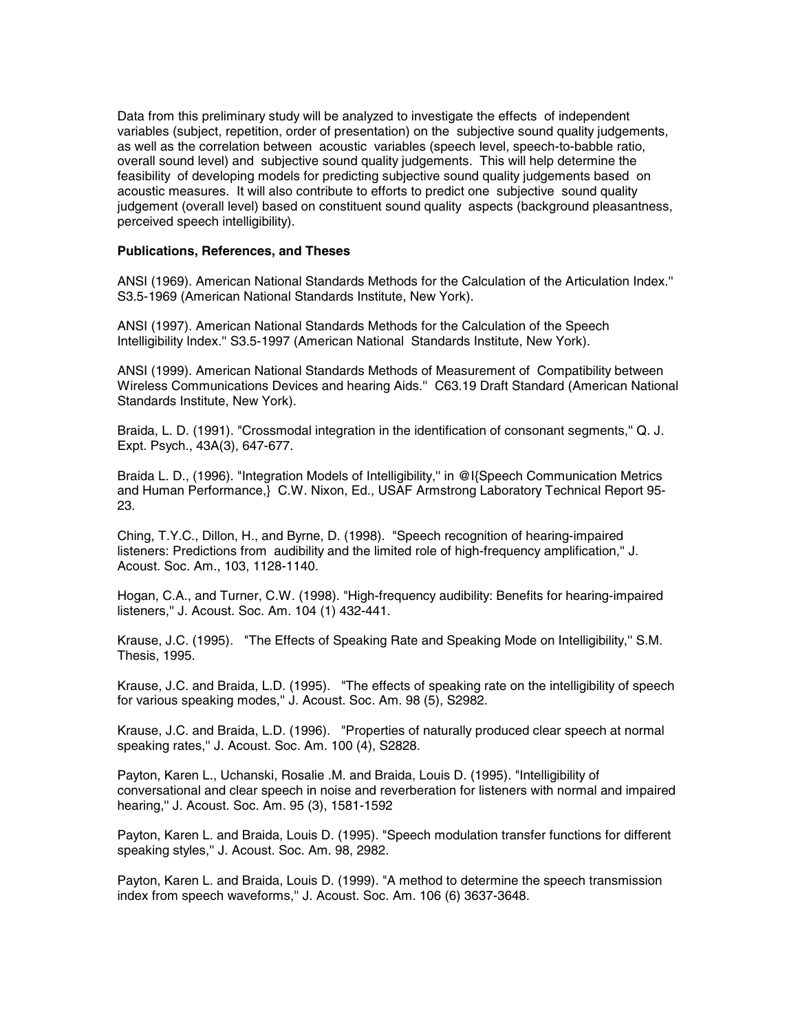Data from this preliminary study will be analyzed to investigate the effects of independent variables (subject, repetition, order of presentation) on the subjective sound quality judgements, as well as the correlation between acoustic variables (speech level, speech-to-babble ratio, overall sound level) and subjective sound quality judgements. This will help determine the feasibility of developing models for predicting subjective sound quality judgements based on acoustic measures. It will also contribute to efforts to predict one subjective sound quality judgement (overall level) based on constituent sound quality aspects (background pleasantness, perceived speech intelligibility).

#### **Publications, References, and Theses**

ANSI (1969). American National Standards Methods for the Calculation of the Articulation Index.'' S3.5-1969 (American National Standards Institute, New York).

ANSI (1997). American National Standards Methods for the Calculation of the Speech Intelligibility Index.'' S3.5-1997 (American National Standards Institute, New York).

ANSI (1999). American National Standards Methods of Measurement of Compatibility between Wireless Communications Devices and hearing Aids.'' C63.19 Draft Standard (American National Standards Institute, New York).

Braida, L. D. (1991). "Crossmodal integration in the identification of consonant segments,'' Q. J. Expt. Psych., 43A(3), 647-677.

Braida L. D., (1996). "Integration Models of Intelligibility,'' in @I{Speech Communication Metrics and Human Performance,} C.W. Nixon, Ed., USAF Armstrong Laboratory Technical Report 95- 23.

Ching, T.Y.C., Dillon, H., and Byrne, D. (1998). "Speech recognition of hearing-impaired listeners: Predictions from audibility and the limited role of high-frequency amplification,'' J. Acoust. Soc. Am., 103, 1128-1140.

Hogan, C.A., and Turner, C.W. (1998). "High-frequency audibility: Benefits for hearing-impaired listeners,'' J. Acoust. Soc. Am. 104 (1) 432-441.

Krause, J.C. (1995). "The Effects of Speaking Rate and Speaking Mode on Intelligibility,'' S.M. Thesis, 1995.

Krause, J.C. and Braida, L.D. (1995). "The effects of speaking rate on the intelligibility of speech for various speaking modes,'' J. Acoust. Soc. Am. 98 (5), S2982.

Krause, J.C. and Braida, L.D. (1996). "Properties of naturally produced clear speech at normal speaking rates,'' J. Acoust. Soc. Am. 100 (4), S2828.

Payton, Karen L., Uchanski, Rosalie .M. and Braida, Louis D. (1995). "Intelligibility of conversational and clear speech in noise and reverberation for listeners with normal and impaired hearing,'' J. Acoust. Soc. Am. 95 (3), 1581-1592

Payton, Karen L. and Braida, Louis D. (1995). "Speech modulation transfer functions for different speaking styles,'' J. Acoust. Soc. Am. 98, 2982.

Payton, Karen L. and Braida, Louis D. (1999). "A method to determine the speech transmission index from speech waveforms,'' J. Acoust. Soc. Am. 106 (6) 3637-3648.